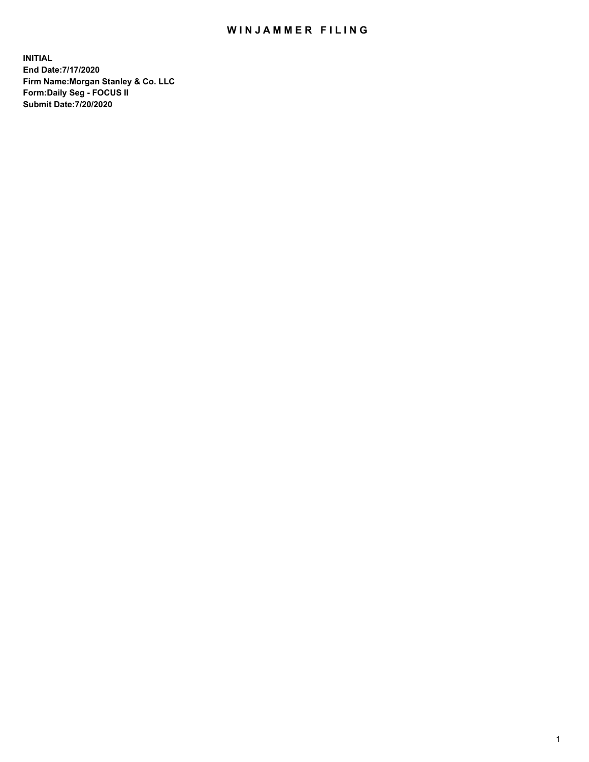## WIN JAMMER FILING

**INITIAL End Date:7/17/2020 Firm Name:Morgan Stanley & Co. LLC Form:Daily Seg - FOCUS II Submit Date:7/20/2020**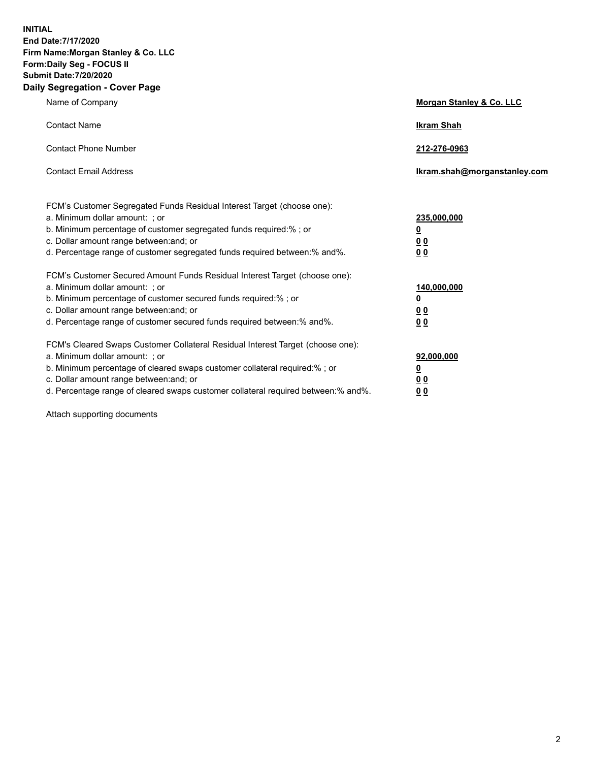**INITIAL End Date:7/17/2020 Firm Name:Morgan Stanley & Co. LLC Form:Daily Seg - FOCUS II Submit Date:7/20/2020 Daily Segregation - Cover Page**

| Name of Company                                                                                                                                                                                                                                                                                                                | Morgan Stanley & Co. LLC                               |
|--------------------------------------------------------------------------------------------------------------------------------------------------------------------------------------------------------------------------------------------------------------------------------------------------------------------------------|--------------------------------------------------------|
| <b>Contact Name</b>                                                                                                                                                                                                                                                                                                            | <b>Ikram Shah</b>                                      |
| <b>Contact Phone Number</b>                                                                                                                                                                                                                                                                                                    | 212-276-0963                                           |
| <b>Contact Email Address</b>                                                                                                                                                                                                                                                                                                   | Ikram.shah@morganstanley.com                           |
| FCM's Customer Segregated Funds Residual Interest Target (choose one):<br>a. Minimum dollar amount: ; or<br>b. Minimum percentage of customer segregated funds required:% ; or<br>c. Dollar amount range between: and; or<br>d. Percentage range of customer segregated funds required between:% and%.                         | 235,000,000<br><u>0</u><br><u>00</u><br>0 <sub>0</sub> |
| FCM's Customer Secured Amount Funds Residual Interest Target (choose one):<br>a. Minimum dollar amount: ; or<br>b. Minimum percentage of customer secured funds required:% ; or<br>c. Dollar amount range between: and; or<br>d. Percentage range of customer secured funds required between:% and%.                           | 140,000,000<br><u>0</u><br><u>00</u><br>0 <sub>0</sub> |
| FCM's Cleared Swaps Customer Collateral Residual Interest Target (choose one):<br>a. Minimum dollar amount: ; or<br>b. Minimum percentage of cleared swaps customer collateral required:% ; or<br>c. Dollar amount range between: and; or<br>d. Percentage range of cleared swaps customer collateral required between:% and%. | 92,000,000<br><u>0</u><br><u>00</u><br>00              |

Attach supporting documents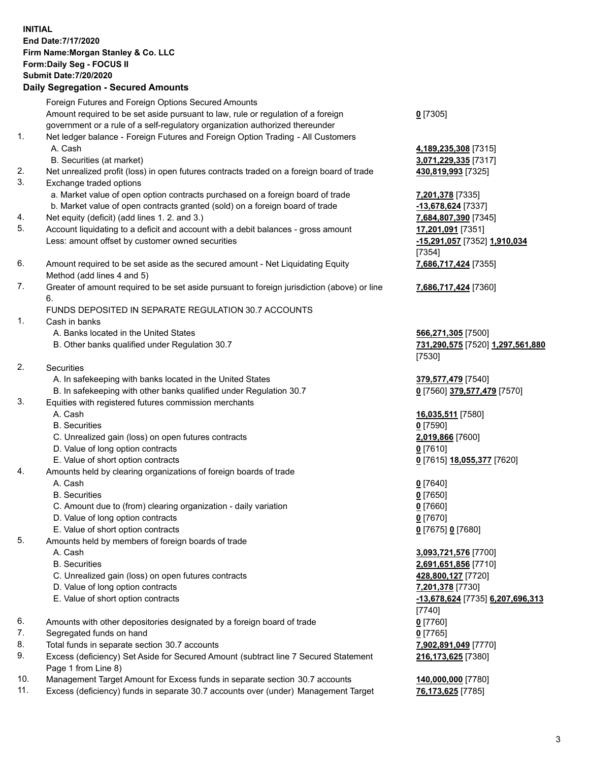| <b>INITIAL</b> | End Date: 7/17/2020<br>Firm Name: Morgan Stanley & Co. LLC<br>Form: Daily Seg - FOCUS II<br><b>Submit Date: 7/20/2020</b><br><b>Daily Segregation - Secured Amounts</b> |                                                                  |
|----------------|-------------------------------------------------------------------------------------------------------------------------------------------------------------------------|------------------------------------------------------------------|
|                | Foreign Futures and Foreign Options Secured Amounts                                                                                                                     |                                                                  |
|                | Amount required to be set aside pursuant to law, rule or regulation of a foreign<br>government or a rule of a self-regulatory organization authorized thereunder        | $0$ [7305]                                                       |
| 1.             | Net ledger balance - Foreign Futures and Foreign Option Trading - All Customers<br>A. Cash<br>B. Securities (at market)                                                 | 4,189,235,308 [7315]<br>3,071,229,335 [7317]                     |
| 2.             | Net unrealized profit (loss) in open futures contracts traded on a foreign board of trade                                                                               | 430,819,993 [7325]                                               |
| 3.             | Exchange traded options                                                                                                                                                 |                                                                  |
|                | a. Market value of open option contracts purchased on a foreign board of trade                                                                                          | 7,201,378 [7335]                                                 |
| 4.             | b. Market value of open contracts granted (sold) on a foreign board of trade<br>Net equity (deficit) (add lines 1.2. and 3.)                                            | -13,678,624 [7337]<br>7,684,807,390 [7345]                       |
| 5.             | Account liquidating to a deficit and account with a debit balances - gross amount                                                                                       | 17,201,091 [7351]                                                |
|                | Less: amount offset by customer owned securities                                                                                                                        | -15,291,057 [7352] 1,910,034<br>[7354]                           |
| 6.             | Amount required to be set aside as the secured amount - Net Liquidating Equity<br>Method (add lines 4 and 5)                                                            | 7,686,717,424 [7355]                                             |
| 7.             | Greater of amount required to be set aside pursuant to foreign jurisdiction (above) or line<br>6.                                                                       | 7,686,717,424 [7360]                                             |
|                | FUNDS DEPOSITED IN SEPARATE REGULATION 30.7 ACCOUNTS                                                                                                                    |                                                                  |
| 1.             | Cash in banks<br>A. Banks located in the United States                                                                                                                  |                                                                  |
|                | B. Other banks qualified under Regulation 30.7                                                                                                                          | 566,271,305 [7500]<br>731,290,575 [7520] 1,297,561,880<br>[7530] |
| 2.             | Securities                                                                                                                                                              |                                                                  |
|                | A. In safekeeping with banks located in the United States                                                                                                               | 379,577,479 [7540]                                               |
|                | B. In safekeeping with other banks qualified under Regulation 30.7                                                                                                      | 0 [7560] 379,577,479 [7570]                                      |
| 3.             | Equities with registered futures commission merchants                                                                                                                   |                                                                  |
|                | A. Cash<br><b>B.</b> Securities                                                                                                                                         | 16,035,511 [7580]                                                |
|                | C. Unrealized gain (loss) on open futures contracts                                                                                                                     | $0$ [7590]<br>2,019,866 [7600]                                   |
|                | D. Value of long option contracts                                                                                                                                       | $0$ [7610]                                                       |
|                | E. Value of short option contracts                                                                                                                                      | 0 [7615] 18,055,377 [7620]                                       |
| 4.             | Amounts held by clearing organizations of foreign boards of trade                                                                                                       |                                                                  |
|                | A. Cash                                                                                                                                                                 | $0$ [7640]                                                       |
|                | <b>B.</b> Securities                                                                                                                                                    | $0$ [7650]                                                       |
|                | C. Amount due to (from) clearing organization - daily variation                                                                                                         | $0$ [7660]                                                       |
|                | D. Value of long option contracts                                                                                                                                       | $0$ [7670]                                                       |
| 5.             | E. Value of short option contracts<br>Amounts held by members of foreign boards of trade                                                                                | 0 [7675] 0 [7680]                                                |
|                | A. Cash                                                                                                                                                                 | 3,093,721,576 [7700]                                             |
|                | <b>B.</b> Securities                                                                                                                                                    | 2,691,651,856 [7710]                                             |
|                | C. Unrealized gain (loss) on open futures contracts                                                                                                                     | 428,800,127 [7720]                                               |
|                | D. Value of long option contracts                                                                                                                                       | 7,201,378 [7730]                                                 |
|                | E. Value of short option contracts                                                                                                                                      | -13,678,624 [7735] 6,207,696,313<br>[7740]                       |
| 6.             | Amounts with other depositories designated by a foreign board of trade                                                                                                  | $0$ [7760]                                                       |
| 7.             | Segregated funds on hand                                                                                                                                                | $0$ [7765]                                                       |
| 8.<br>9.       | Total funds in separate section 30.7 accounts                                                                                                                           | 7,902,891,049 [7770]                                             |
|                | Excess (deficiency) Set Aside for Secured Amount (subtract line 7 Secured Statement<br>Page 1 from Line 8)                                                              | 216,173,625 [7380]                                               |

- 10. Management Target Amount for Excess funds in separate section 30.7 accounts **140,000,000** [7780]
- 11. Excess (deficiency) funds in separate 30.7 accounts over (under) Management Target **76,173,625** [7785]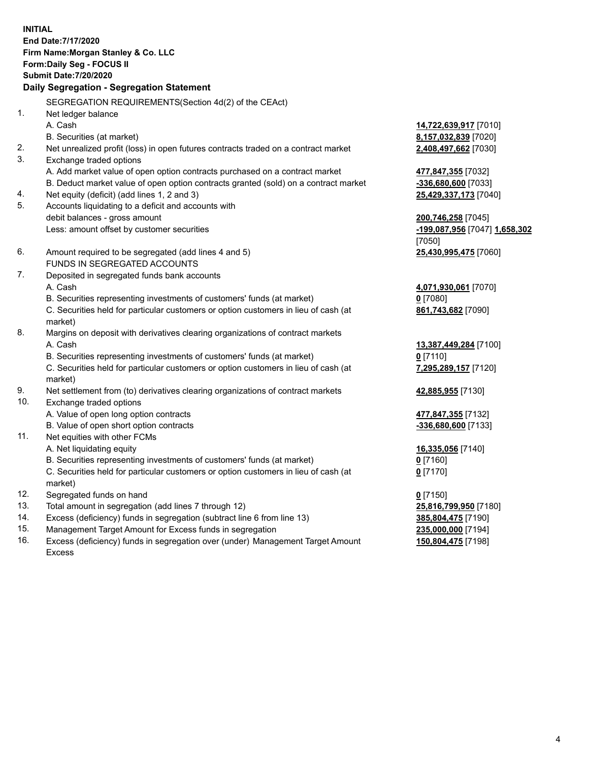**INITIAL End Date:7/17/2020 Firm Name:Morgan Stanley & Co. LLC Form:Daily Seg - FOCUS II Submit Date:7/20/2020 Daily Segregation - Segregation Statement** SEGREGATION REQUIREMENTS(Section 4d(2) of the CEAct) 1. Net ledger balance A. Cash **14,722,639,917** [7010] B. Securities (at market) **8,157,032,839** [7020] 2. Net unrealized profit (loss) in open futures contracts traded on a contract market **2,408,497,662** [7030] 3. Exchange traded options A. Add market value of open option contracts purchased on a contract market **477,847,355** [7032] B. Deduct market value of open option contracts granted (sold) on a contract market **-336,680,600** [7033] 4. Net equity (deficit) (add lines 1, 2 and 3) **25,429,337,173** [7040] 5. Accounts liquidating to a deficit and accounts with debit balances - gross amount **200,746,258** [7045] Less: amount offset by customer securities **-199,087,956** [7047] **1,658,302** [7050] 6. Amount required to be segregated (add lines 4 and 5) **25,430,995,475** [7060] FUNDS IN SEGREGATED ACCOUNTS 7. Deposited in segregated funds bank accounts A. Cash **4,071,930,061** [7070] B. Securities representing investments of customers' funds (at market) **0** [7080] C. Securities held for particular customers or option customers in lieu of cash (at market) **861,743,682** [7090] 8. Margins on deposit with derivatives clearing organizations of contract markets A. Cash **13,387,449,284** [7100] B. Securities representing investments of customers' funds (at market) **0** [7110] C. Securities held for particular customers or option customers in lieu of cash (at market) **7,295,289,157** [7120] 9. Net settlement from (to) derivatives clearing organizations of contract markets **42,885,955** [7130] 10. Exchange traded options A. Value of open long option contracts **477,847,355** [7132] B. Value of open short option contracts **and the set of our original contracts -336,680,600** [7133] 11. Net equities with other FCMs A. Net liquidating equity **16,335,056** [7140] B. Securities representing investments of customers' funds (at market) **0** [7160] C. Securities held for particular customers or option customers in lieu of cash (at market) **0** [7170] 12. Segregated funds on hand **0** [7150] 13. Total amount in segregation (add lines 7 through 12) **25,816,799,950** [7180] 14. Excess (deficiency) funds in segregation (subtract line 6 from line 13) **385,804,475** [7190]

- 15. Management Target Amount for Excess funds in segregation **235,000,000** [7194]
- 16. Excess (deficiency) funds in segregation over (under) Management Target Amount Excess

**150,804,475** [7198]